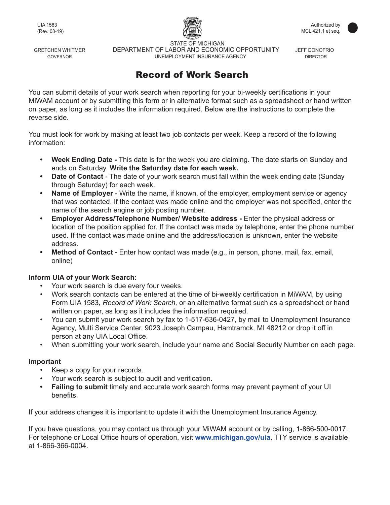

 STATE OF MICHIGAN GRETCHEN WHITMER **DEPARTMENT OF LABOR AND ECONOMIC OPPORTUNITY** JEFF DONOFRIO GOVERNOR GOVERNOR CONSULTED UNEMPLOYMENT INSURANCE AGENCY THE CONSUMING DIRECTOR

## Record of Work Search

You can submit details of your work search when reporting for your bi-weekly certifications in your MiWAM account or by submitting this form or in alternative format such as a spreadsheet or hand written on paper, as long as it includes the information required. Below are the instructions to complete the reverse side.

You must look for work by making at least two job contacts per week. Keep a record of the following information:

- **Week Ending Date** This date is for the week you are claiming. The date starts on Sunday and ends on Saturday. **Write the Saturday date for each week.**
- **Date of Contact**  The date of your work search must fall within the week ending date (Sunday through Saturday) for each week.
- **Name of Employer** Write the name, if known, of the employer, employment service or agency that was contacted. If the contact was made online and the employer was not specified, enter the name of the search engine or job posting number.
- **Employer Address/Telephone Number/ Website address** Enter the physical address or location of the position applied for. If the contact was made by telephone, enter the phone number used. If the contact was made online and the address/location is unknown, enter the website address.
- **Method of Contact Enter how contact was made (e.g., in person, phone, mail, fax, email,** online)

## **Inform UIA of your Work Search:**

- Your work search is due every four weeks.
- Work search contacts can be entered at the time of bi-weekly certification in MiWAM, by using Form UIA 1583, *Record of Work Search,* or an alternative format such as a spreadsheet or hand written on paper, as long as it includes the information required.
- You can submit your work search by fax to 1-517-636-0427, by mail to Unemployment Insurance Agency, Multi Service Center, 9023 Joseph Campau, Hamtramck, MI 48212 or drop it off in person at any UIA Local Office.
- When submitting your work search, include your name and Social Security Number on each page.

## **Important**

- Keep a copy for your records.
- Your work search is subject to audit and verification.
- **Failing to submit** timely and accurate work search forms may prevent payment of your UI benefits.

If your address changes it is important to update it with the Unemployment Insurance Agency.

If you have questions, you may contact us through your MiWAM account or by calling, 1-866-500-0017. For telephone or Local Office hours of operation, visit **www.michigan.gov/uia**. TTY service is available at 1-866-366-0004.